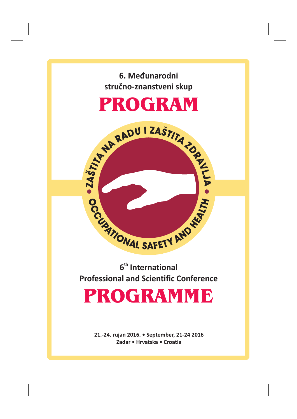





# **6th International Professional and Scientific Conference**

# PROGRAMME **PROGRAMMENT**

**21.-24. rujan 2016. • September, 21-24 2016 Zadar • • Croatia Hrvatska**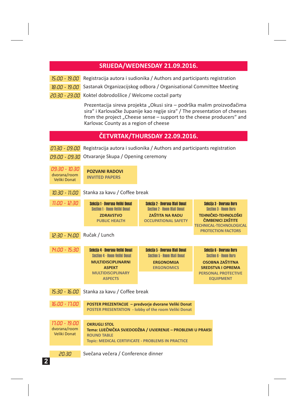## **SRIJEDA/WEDNESDAY 21.09.2016.**

- 15:00 19:00 Registracija autora i sudionika / Authors and participants registration
- 18:00 19:00 Sastanak Organizacijskog odbora / Organisational Committee Meeting
- 20.30 23.00 Koktel dobrodošlice / Welcome coctail party

Prezentacija sireva projekta "Okusi sira – podrška malim proizvođačima sira" i Karlovačke županije kao regije sira" / The presentation of cheeses from the project "Cheese sense – support to the cheese producers" and Karlovac County as a region of cheese

## **ČETVRTAK/THURSDAY 22.09.2016.**

| Registracija autora i sudionika / Authors and participants registration<br>01:30 - 09:00<br>Otvaranje Skupa / Opening ceremony<br>09:00 - 09:30 |                                                                                                                                                                      |                                                                                                                              |                                                                                                                                                                            |  |
|-------------------------------------------------------------------------------------------------------------------------------------------------|----------------------------------------------------------------------------------------------------------------------------------------------------------------------|------------------------------------------------------------------------------------------------------------------------------|----------------------------------------------------------------------------------------------------------------------------------------------------------------------------|--|
| 09:30 - 10:30<br>dvorana/room<br>Veliki Donat                                                                                                   | <b>POZVANI RADOVI</b><br><b>INVITED PAPERS</b>                                                                                                                       |                                                                                                                              |                                                                                                                                                                            |  |
| 10:30 - 11:00<br>Stanka za kavu / Coffee break                                                                                                  |                                                                                                                                                                      |                                                                                                                              |                                                                                                                                                                            |  |
| $11.00 - 12.30$                                                                                                                                 | Sekcija 1 - Dvorana Veliki Donat<br><b>Section 1 - Room Veliki Donat</b><br><b>ZDRAVSTVO</b><br><b>PUBLIC HEALTH</b>                                                 | Sekcija 2 - Dvorana Mali Donat<br><b>Section 2 - Room Mall Donat</b><br><b>ZAŠTITA NA RADU</b><br><b>OCCUPATIONAL SAFETY</b> | Sekcija 3 - Dvorana Bura<br><b>Section 3 - Room Bura</b><br><b>TEHNIČKO-TEHNOLOŠKI</b><br>ČIMBENICI ZAŠTITE<br><b>TECHNICAL-TECHNOLOGICAL</b><br><b>PROTECTION FACTORS</b> |  |
| 12:30 - 14:00 Ručak / Lunch                                                                                                                     |                                                                                                                                                                      |                                                                                                                              |                                                                                                                                                                            |  |
| 14:00 - 15:30                                                                                                                                   | Sekcija 4 - Dvorana Veliki Donat<br><b>Section 4 - Room Veliki Donat</b><br><b>MULTIDISCIPLINARNI</b><br><b>ASPEKT</b><br><b>MULTIDISCIPLINARY</b><br><b>ASPECTS</b> | Sekcija 5 - Dvorana Mali Donat<br><b>Section 5 - Room Mall Donat</b><br><b>ERGONOMIJA</b><br><b>ERGONOMICS</b>               | Sekcija 6 - Dvorana Bura<br><b>Section 6 - Room Bura</b><br><b>OSOBNA ZAŠTITNA</b><br><b>SREDSTVA I OPREMA</b><br><b>PERSONAL PROTECTIVE</b><br><b>EQUIPMENT</b>           |  |
| $15:30 - 16:00$<br>Stanka za kavu / Coffee break                                                                                                |                                                                                                                                                                      |                                                                                                                              |                                                                                                                                                                            |  |
| 16:00 - 17:00                                                                                                                                   | POSTER PREZENTACIJE - predvorje dvorane Veliki Donat<br>POSTER PRESENTATION - lobby of the room Veliki Donat                                                         |                                                                                                                              |                                                                                                                                                                            |  |
| 11:00 - 19:00<br>dvorana/room<br>Veliki Donat                                                                                                   | <b>OKRUGLI STOL</b><br>Tema: LIJEČNIČKA SVJEDODŽBA / UVJERENJE - PROBLEMI U PRAKSI<br><b>ROUND TABLE</b><br>Topic: MEDICAL CERTIFICATE - PROBLEMS IN PRACTICE        |                                                                                                                              |                                                                                                                                                                            |  |
| 20:30                                                                                                                                           | Svečana večera / Conference dinner                                                                                                                                   |                                                                                                                              |                                                                                                                                                                            |  |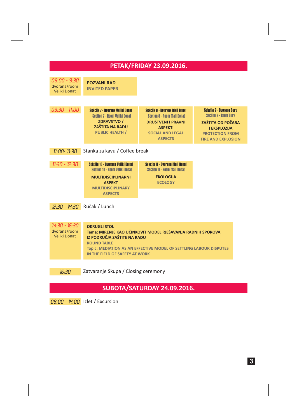| <b>PETAK/FRIDAY 23.09.2016.</b>                                                                                                                                                                                                                                                                                |                                                                                                                                                                        |                                                                                                                                                                  |                                                                                                                                                                           |  |  |  |
|----------------------------------------------------------------------------------------------------------------------------------------------------------------------------------------------------------------------------------------------------------------------------------------------------------------|------------------------------------------------------------------------------------------------------------------------------------------------------------------------|------------------------------------------------------------------------------------------------------------------------------------------------------------------|---------------------------------------------------------------------------------------------------------------------------------------------------------------------------|--|--|--|
| 09:00 - 9:30<br>dvorana/room<br>Veliki Donat                                                                                                                                                                                                                                                                   | <b>POZVANI RAD</b><br><b>INVITED PAPER</b>                                                                                                                             |                                                                                                                                                                  |                                                                                                                                                                           |  |  |  |
| 09:30 - 11:00                                                                                                                                                                                                                                                                                                  | Sekcija 7 - Dvorana Veliki Donat<br><b>Section 7 - Room Veliki Donat</b><br>ZDRAVSTVO /<br><b>ZAŠTITA NA RADU</b><br><b>PUBLIC HEALTH /</b>                            | Sekcija 8 - Dvorana Mali Donat<br><b>Section 8 - Room Mall Donat</b><br><b>DRUŠTVENI I PRAVNI</b><br><b>ASPEKTI</b><br><b>SOCIAL AND LEGAL</b><br><b>ASPECTS</b> | <b>Sekcija 9 - Dvorana Bura</b><br><b>Section 9 - Room Bura</b><br><b>ZAŠTITA OD POŽARA</b><br><b>I EKSPLOZIJA</b><br><b>PROTECTION FROM</b><br><b>FIRE AND EXPLOSION</b> |  |  |  |
| Stanka za kavu / Coffee break<br>11:00-11:30                                                                                                                                                                                                                                                                   |                                                                                                                                                                        |                                                                                                                                                                  |                                                                                                                                                                           |  |  |  |
| 11:30 - 12:30                                                                                                                                                                                                                                                                                                  | Sekcija 10 - Dvorana Veliki Donat<br><b>Section 10 - Room Veliki Donat</b><br><b>MULTIDISCIPLINARNI</b><br><b>ASPEKT</b><br><b>MULTIDISCIPLINARY</b><br><b>ASPECTS</b> | Sekcija 11 - Dvorana Mali Donat<br>Section 11 - Room Mali Donat<br><b>EKOLOGIJA</b><br><b>ECOLOGY</b>                                                            |                                                                                                                                                                           |  |  |  |
| 12:30 - 14:30 Ručak / Lunch                                                                                                                                                                                                                                                                                    |                                                                                                                                                                        |                                                                                                                                                                  |                                                                                                                                                                           |  |  |  |
| 14:30 - 16:30<br><b>OKRUGLI STOL</b><br>dvorana/room<br>Tema: MIRENJE KAO UČINKOVIT MODEL RJEŠAVANJA RADNIH SPOROVA<br><b>Veliki Donat</b><br>IZ PODRUČJA ZAŠTITE NA RADU<br><b>ROUND TABLE</b><br><b>Topic: MEDIATION AS AN EFFECTIVE MODEL OF SETTLING LABOUR DISPUTES</b><br>IN THE FIELD OF SAFETY AT WORK |                                                                                                                                                                        |                                                                                                                                                                  |                                                                                                                                                                           |  |  |  |
| 16:30                                                                                                                                                                                                                                                                                                          | Zatvaranje Skupa / Closing ceremony                                                                                                                                    |                                                                                                                                                                  |                                                                                                                                                                           |  |  |  |

# **SUBOTA/SATURDAY 24.09.2016.**

09:00 - 14:00 Izlet / Excursion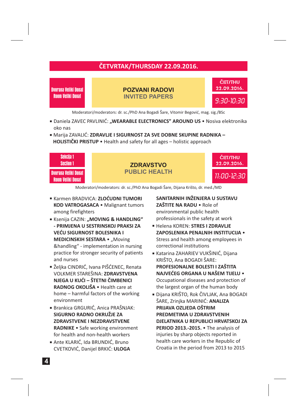## **ČETVRTAK/THURSDAY 22.09.2016.**

Dvorana Veliki Donat<br>Room Veliki Donat

22.09.2016. Dvorana Veliki Donat **POZVANI RADOVI INVITED PAPERS**



Moderatori/moderators: dr. sc./PhD Ana Bogadi Šare, Vitomir Begović, mag. sig./BSc

- **Daniela ZAVEC PAVLINIĆ: "WEARABLE ELECTRONICS" AROUND US Nosiva elektronika** oko nas
- Marija ZAVALIĆ: **ZDRAVLJE I SIGURNOST ZA SVE DOBNE SKUPINE RADNIKA – HOLISTIČKI PRISTUP •** Health and safety for all ages – holistic approach



Moderatori/moderators: dr. sc./PhD Ana Bogadi Šare, Dijana Krišto, dr. med./MD

- Karmen BRADVICA: **ZLOĆUDNI TUMORI** KOD VATROGASACA · Malignant tumors among firefighters
- Ksenija CAZIN: **"MOVING & HANDLING" MEDICINSKIH SESTARA ·** "Moving &handling" - implementation in nursing practice for stronger security of patients and nurses **- PRIMJENA U SESTRINSKOJ PRAKSI ZA VEĆU SIGURNOST BOLESNIKA I**
- Željka CINDRIĆ, Ivana PIŠĆENEC, Renata VOLKMER STAREŠINA: **ZDRAVSTVENA** • Health care at **RADNOG OKOLIŠA** home – harmful factors of the working environment **NJEGA U KUĆI – ŠTETNI ČIMBENICI**
- Brankica GRGURIĆ, Anica PRAŠNJAK: • Safe working environment **RADNIKE** for health and non-health workers **SIGURNO RADNO OKRUŽJE ZA ZDRAVSTVENE I NEZDRAVSTVENE**
- Ante KLARIĆ, Ida BRUNDIĆ, Bruno CVETKOVIĆ, Danijel BRKIĆ: **ULOGA**

**ZAŠTITE NA RADU •** Role of environmental public health **SANITARNIH INŽENJERA U SUSTAVU**

professionals in the safety at work

- Helena KOREN: **STRES I ZDRAVLJE** • **ZAPOSLENIKA PENALNIH INSTITUCIJA** Stress and health among employees in correctional institutions
- Katarina ZAHARIEV VUKŠINIĆ, Dijana KRIŠTO, Ana BOGADI ŠARE: • **NAJVEĆEG ORGANA U NAŠEM TIJELU** Occupational diseases and protection of the largest organ of the human body **PROFESIONALNE BOLESTI I ZAŠTITA**
- Dijana KRIŠTO, Rok ČIVLJAK, Ana BOGADI ŠARE, Zrinjka MARINIĆ: **ANALIZA** PERIOD 2013.-2015. • The analysis of injuries by sharp objects reported in health care workers in the Republic of Croatia in the period from 2013 to 2015 **PRIJAVA OZLJEDA OŠTRIM PREDMETIMA U ZDRAVSTVENIH DJELATNIKA U REPUBLICI HRVATSKOJ ZA**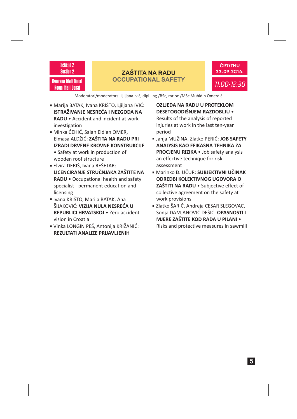

Dvorana Mali Donat Room Mali Donat

## **ZAŠTITA NA RADU OCCUPATIONAL SAFETY**



Moderatori/moderators: Ljiljana Ivić, dipl. ing./BSc, mr. sc./MSc Muhidin Omerdić

- Marija BATAK, Ivana KRIŠTO, Ljiljana IVIĆ: • Accident and incident at work **RADU** investigation **ISTRAŽIVANJE NESREĆA I NEZGODA NA**
- Minka ĆEHIĆ, Salah Eldien OMER, Elmasa ALDŽIĆ: **ZAŠTITA NA RADU PRI** • Safety at work in production of wooden roof structure **IZRADI DRVENE KROVNE KONSTRUKCIJE**
- Elvira DERIŠ, Ivana REŠETAR: RADU • Occupational health and safety specialist - permanent education and licensing **LICENCIRANJE STRUČNJAKA ZAŠTITE NA**
- Ivana KRIŠTO, Marija BATAK, Ana ŠIJAKOVIĆ: **VIZIJA NULA NESREĆA U REPUBLICI HRVATSKOJ • Zero accident** vision in Croatia
- Vinka LONGIN PEŠ, Antonija KRIŽANIĆ: **REZULTATI ANALIZE PRIJAVLJENIH**

Results of the analysis of reported injuries at work in the last ten-year period **OZLJEDA NA RADU U PROTEKLOM DESETOGODIŠNJEM RAZDOBLJU** •

- Janja MUŽINA, Zlatko PERIĆ: **JOB SAFETY** PROCJENU RIZIKA · Job safety analysis an effective technique for risk assessment **ANALYSIS KAO EFIKASNA TEHNIKA ZA**
- Marinko Đ. UČUR: **SUBJEKTIVNI UČINAK ZAŠTITI NA RADU •** Subjective effect of collective agreement on the safety at work provisions **ODREDBI KOLEKTIVNOG UGOVORA O**
- Zlatko ŠARIĆ, Andreja CESAR SLEGOVAC, Sonja DAMJANOVIĆ DEŠIĆ: **OPASNOSTI I** Risks and protective measures in sawmill **MJERE ZAŠTITE KOD RADA U PILANI** •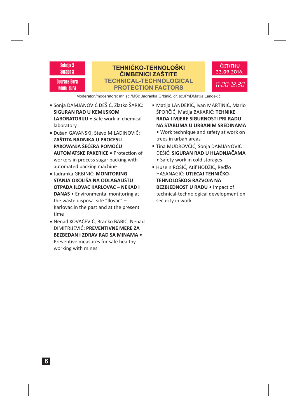Sekcija 3 Section 3 Dvorana Bura Room Bura

## **TEHNIČKO-TEHNOLOŠKI ČIMBENICI ZAŠTITE TECHNICAL-TECHNOLOGICAL PROTECTION FACTORS**



Moderatori/moderators: mr. sc./MSc Jadranka Grbinić, dr. sc./PhDMatija Landekić

- Sonja DAMJANOVIĆ DEŠIĆ, Zlatko ŠARIĆ: LABORATORIJU · Safe work in chemical laboratory **SIGURAN RAD U KEMIJSKOM**
- Dušan GAVANSKI, Stevo MILADINOVIĆ: **AUTOMATSKE PAKERICE •** Protection of workers in process sugar packing with automated packing machine **ZAŠTITA RADNIKA U PROCESU PAKOVANJA ŠEĆERA POMOĆU**
- Jadranka GRBINIĆ: **MONITORING** DANAS · Environmental monitoring at the waste disposal site "Ilovac" – Karlovac in the past and at the present time **STANJA OKOLIŠA NA ODLAGALIŠTU OTPADA ILOVAC KARLOVAC – NEKAD I**
- Nenad KOVAČEVIĆ, Branko BABIĆ, Nenad DIMITRIJEVIĆ: **PREVENTIVNE MERE ZA** Preventive measures for safe healthy working with mines **BEZBEDAN I ZDRAV RAD SA MINAMA** •
- Matija LANDEKIĆ, Ivan MARTINIĆ, Mario ŠPORČIĆ, Matija BAKARIĆ: **TEHNIKE RADA I MJERE SIGURNOSTI PRI RADU NA STABLIMA U URBANIM SREDINAMA**
- Work technique and safety at work on trees in urban areas
- Tina MUDROVČIĆ, Sonja DAMJANOVIĆ DEŠIĆ: **SIGURAN RAD U HLADNJAČAMA** • Safety work in cold storages
- Husein ROŠIĆ, Atif HODŽIĆ, Redžo HASANAGIĆ: **UTJECAJ TEHNIČKO-**BEZBJEDNOST U RADU · Impact of technical-technological development on security in work **TEHNOLOŠKOG RAZVOJA NA**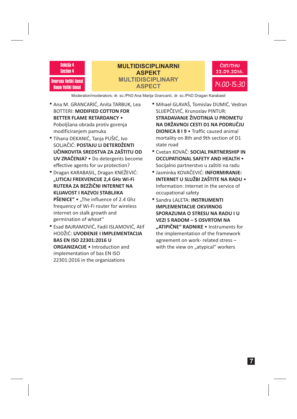

Dvorana Veliki Donat<br>Room Veliki Donat

## 14:00-15:30 Dvorana Veliki Donat **MULTIDISCIPLINARY MULTIDISCIPLINARNI ASPEKT ASPECT**



Moderatori/moderators: dr. sc./PhD Ana Marija Grancarić, dr. sc./PhD Dragan Karabasil -

- Ana M. GRANCARIĆ, Anita TARBUK, Lea BOTTERI: **MODIFIED COTTON FOR** Poboljšana obrada protiv gorenja modificiranjem pamuka **BETTER FLAME RETARDANCY** •
- Tihana DEKANIĆ, Tanja PUŠIĆ, Ivo SOLJAČIĆ: **POSTAJU LI DETERDŽENTI UV ZRAČENJA? •** Do detergents become effective agents for uv protection? **UČINKOVITA SREDSTVA ZA ZAŠTITU OD**
- Dragan KARABASIL, Dragan KNEŽEVIĆ: **PŠENICE" •** "The influence of 2.4 Ghz frequency of Wi-Fi router for wireless internet on stalk growth and germination of wheat" **"UTICAJ FREKVENCIJE 2,4 GHz Wi-Fi RUTERA ZA BEZŽIČNI INTERNET NA KLIJAVOST I RAZVOJ STABLJIKA**
- Esad BAJRAMOVIĆ, Fadil ISLAMOVIĆ, Atif HODŽIĆ: **UVOĐENJE I IMPLEMENTACIJA** ORGANIZACIJE . Introduction and implementation of bas EN ISO 22301:2016 in the organizations **BAS EN ISO 22301:2016 U**
- Mihael GLAVAŠ, Tomislav DUMIĆ, Vedran SLIJEPČEVIĆ, Krunoslav PINTUR: DIONICA 8 I 9 · Traffic caused animal mortality on 8th and 9th section of D1 state road **STRADAVANJE ŽIVOTINJA U PROMETU NA DRŽAVNOJ CESTI D1 NA PODRUČJU**
- Cvetan KOVAČ: **SOCIAL PARTNERSHIP IN** Socijalno partnerstvo u zaštiti na radu **OCCUPATIONAL SAFETY AND HEALTH** •
- Jasminka KOVAČEVIĆ: **INFORMIRANJE:** Information: Internet in the service of occupational safety • **INTERNET U SLUŽBI ZAŠTITE NA RADU**
- Sandra LALETA: **INSTRUMENTI "ATIPIČNE" RADNIKE •** Instruments for the implementation of the framework agreement on work- related stress – with the view on "atypical" workers **IMPLEMENTACIJE OKVIRNOG SPORAZUMA O STRESU NA RADU I U VEZI S RADOM – S OSVRTOM NA**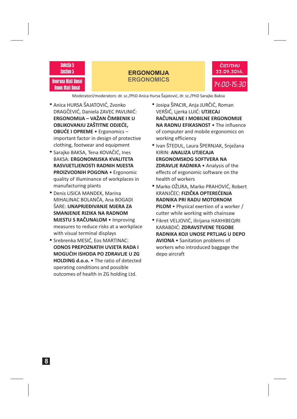#### Sekcija 5 Section 5

Dvorana Mali Donat Room Mali Donat

#### **ERGONOMIJA ERGONOMICS**



Moderatori/moderators: dr. sc./PhD Anica Hursa Šajatović, dr. sc./PhD Sarajko Baksa -

- Anica HURSA ŠAJATOVIĆ, Zvonko DRAGČEVIĆ, Daniela ZAVEC PAVLINIĆ: • Ergonomics – **OBUĆE I OPREME** important factor in design of protective clothing, footwear and equipment **ERGONOMIJA – VAŽAN ČIMBENIK U OBLIKOVANJU ZAŠTITNE ODJEĆE,**
- Sarajko BAKSA, Tena KOVAČIĆ, Ines BAKSA: **ERGONOMIJSKA KVALITETA** PROIZVODNIH POGONA · Ergonomic quality of illuminance of workplaces in manufacturing plants **RASVIJETLJENOSTI RADNIH MJESTA**
- Denis LISICA MANDEK, Marina MIHALINAC BOLANČA, Ana BOGADI ŠARE: **UNAPRJEĐIVANJE MJERA ZA MJESTU S RAČUNALOM • Improving** measures to reduce risks at a workplace with visual terminal displays **SMANJENJE RIZIKA NA RADNOM**
- Srebrenka MESIĆ, Eos MARTINAC: HOLDING d.o.o. . The ratio of detected operating conditions and possible outcomes of health in ZG holding Ltd. **ODNOS PREPOZNATIH UVJETA RADA I MOGUĆIH ISHODA PO ZDRAVLJE U ZG**
- Josipa ŠPACIR, Anja JURČIĆ, Roman VERŠIĆ, Ljerka LUIĆ: **UTJECAJ** NA RADNU EFIKASNOST . The influence of computer and mobile ergonomics on working efficiency **RAČUNALNE I MOBILNE ERGONOMIJE**
- Ivan ŠTEDUL, Laura ŠPERNJAK, Snježana KIRIN: **ANALIZA UTJECAJA ZDRAVLJE RADNIKA** • Analysis of the effects of ergonomic software on the health of workers **ERGONOMSKOG SOFTVERA NA**
- Marko OŽURA, Marko PRAHOVIĆ, Robert KRANJČEC: **FIZIČKA OPTEREĆENJA PILOM** • Physical exertion of a worker / cutter while working with chainsaw **RADNIKA PRI RADU MOTORNOM**
- Fikret VELJOVIĆ, Ilirijana HAXHIBEQIRI KARABDIĆ: **ZDRAVSTVENE TEGOBE** AVIONA · Sanitation problems of workers who introduced baggage the depo aircraft **RADNIKA KOJI UNOSE PRTLJAG U DEPO**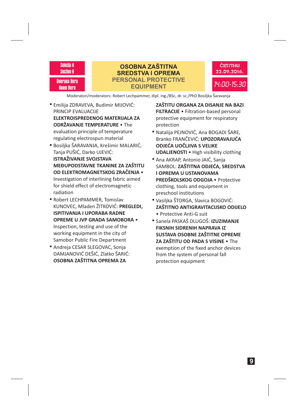

## **OSOBNA ZAŠTITNA SREDSTVA I OPREMA PERSONAL PROTECTIVE EQUIPMENT**



Moderatori/moderators: Robert Lechpammer, dipl. ing./BSc, dr. sc./PhD Bosiljka Šaravanja

- Emilija ZDRAVEVA, Budimir MIJOVIĆ: PRINCIP EVALUACIJE **ODRŽAVANJE TEMPERATURE •** The evaluation principle of temperature regulating electrospun material **ELEKTROISPREDENOG MATERIJALA ZA**
- Bosiljka ŠARAVANJA, Krešimir MALARIĆ, Tanja PUŠIĆ, Darko UJEVIĆ: Investigation of interlining fabric aimed for shield effect of electromagnetic radiation **ISTRAŽIVANJE SVOJSTAVA MEĐUPODSTAVNE TKANINE ZA ZAŠTITU OD ELEKTROMAGNETSKOG ZRAČENJA** •
- Robert LECHPAMMER, Tomislav KUNOVEC, Mladen ŽITKOVIĆ: **PREGLEDI,** Inspection, testing and use of the working equipment in the city of Samobor Public Fire Department **ISPITIVANJA I UPORABA RADNE OPREME U JVP GRADA SAMOBORA** •
- Andreja CESAR SLEGOVAC, Sonja DAMJANOVIĆ DEŠIĆ, Zlatko ŠARIĆ: **OSOBNA ZAŠTITNA OPREMA ZA**

Filtration-based personal **FILTRACIJE** • protective equipment for respiratory protection **ZAŠTITU ORGANA ZA DISANJE NA BAZI**

- Natalija PEJNOVIĆ, Ana BOGADI ŠARE, Branko FRANČEVIĆ: **UPOZORAVAJUĆA** UDALJENOSTI · High visibility clothing **ODJEĆA UOČLJIVA S VELIKE**
- Ana AKRAP, Antonio JAIĆ, Sanja SAMBOL: **ZAŠTITNA ODJEĆA, SREDSTVA PREDŠKOLSKOG ODGOJA •** Protective clothing, tools and equipment in preschool institutions **I OPREMA U USTANOVAMA**
- Vasiljka ŠTORGA, Slavica BOGOVIĆ: • Protective Anti-G suit **ZAŠTITNO ANTIGRAVITACIJSKO ODIJELO**
- **=** Sanela PASKAŠ DLUGOŠ: **IZUZIMANJE ZA ZAŠTITU OD PADA S VISINE •** The exemption of the fixed anchor devices from the system of personal fall protection equipment **FIKSNIH SIDRENIH NAPRAVA IZ SUSTAVA OSOBNE ZAŠTITNE OPREME**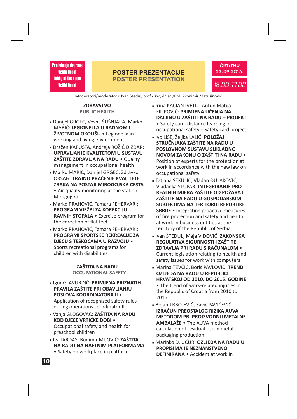#### **POSTER PREZENTACIJE POSTER PRESENTATION**



Moderatori/moderators: Ivan Štedul, prof./BSc, dr. sc./PhD Zvonimir Matusinović

#### **ZDRAVSTVO PUBLIC HEALTH**

- **LEGIONELLA U RADNOM I** MARIĆ: **ŽIVOTNOM OKOLIŠU** • Legionella in -Danijel GRGEC, Vesna ŠUŠNJARA, Marko working and living environment
- **UPRAVLJANJE KVALITETOM U SUSTAVU ZAŠTITE ZDRAVLJA NA RADU** • Quality -Dražen KAPUSTA, Andreja ROŽIĆ DIZDAR: management in occupational health
- **TRAJNO PRAĆENJE KVALITETE** ORSAG: **ZRAKA NA POSTAJI MIROGOJSKA CESTA** -Marko MARIĆ, Danijel GRGEC, Zdravko • Air quality monitoring at the station Mirogojska
- **PROGRAM VJEŽBI ZA KOREKCIJU RAVNIH STOPALA** • Exercise program for -Marko PRAHOVIĆ, Tamara FEHERVARI: the corection of flat feet
- **PROGRAMI SPORTSKE REKREACIJE ZA DJECU S TEŠKOĆAMA U RAZVOJU** • -Marko PRAHOVIĆ, Tamara FEHERVARI: Sports recreational programs for children with disabilities

#### **ZAŠTITA NA RADU OCCUPATIONAL SAFETY**

- **Igor GLAVURDIĆ: PRIMJENA PRIZNATIH PRAVILA ZAŠTITE PRI OBAVLJANJU POSLOVA KOORDINATORA II** • Application of recognized safety rules during operations coordinator II
- **Lating operations coordinates in KOD DJECE VRTIĆKE DOBI** • Occupational safety and health for preschool children
- **ZAŠTITA** -Iva JARDAS, Budimir MIJOVIĆ: **NA RADU NA NAFTNIM PLATFORMAMA**
	- Safety on workplace in platform
- **PRIMJENA UČENJA NA** FILIPOVIĆ: **DALJINU U ZAŠTITI NA RADU – PROJEKT** -Irina KACIAN IVETIĆ, Antun Matija • Safety card distance learning in occupational safety – Safety card project
- **-** Ivo LISE, Željka LALIĆ: **POLOŽAJ STRUČNJAKA ZAŠTITE NA RADU U POSLOVNOM SUSTAVU SUKLADNO NOVOM ZAKONU O ZAŠTITI NA RADU** • Position of experts for the protection at work in accordance with the new law on occupational safety
- Vladanka STUPAR: **INTEGRIRANJE PRO REALNIH MJERA ZAŠTITE OD POŽARA I ZAŠTITE NA RADU U GOSPODARSKIM SUBJEKTIMA NA TERITORIJI REPUBLIKE SRBIJE** • Integrating proactive measures -Tatjana SEKULIĆ, Vladan ĐULAKOVIĆ, of fire protection and safety and health at work in business entities at the territory of the Republic of Serbia
- **LAKCONSKA**<br>I Ivan ŠTEDUL, Maja VIDOVIĆ: ZAKONSKA **REGULATIVA SIGURNOSTI I ZAŠTITE ZDRAVLJA PRI RADU S RAČUNALOM** • Current legislation relating to health and safety issues for work with computers
- **Marina TEVČIĆ, Boris PAVLOVIĆ: TREND OZLJEDA NA RADU U REPUBLICI HRVATSKOJ OD 2010. DO 2015. GODINE** • The trend of work-related injuries in the Republic of Croatia from 2010 to 2015
- **IZRAČUN PREOSTALOG RIZIKA AUVA METODOM PRI PROIZVODNJI METALNE AMBALAŽE** • The AUVA method -Bojan TRBOJEVIĆ, Savić PAVIĆEVIĆ: calculation of residual risk in metal packaging production
- **Marinko Đ. UČUR: OZLJEDA NA RADU U PROPISIMA JE NEZNANSTVENO DEFINIRANA** • Accident at work in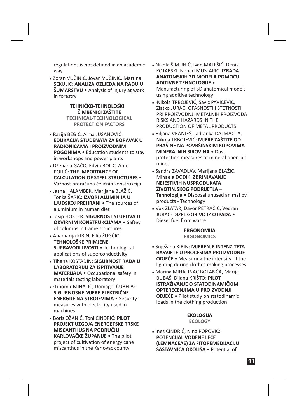regulations is not defined in an academic way

Zoran VUČINIĆ, Jovan VUČINIĆ, Martina -SEKULIĆ: **ANALIZA OZLJEDA NA RADU U**  $\check{\textbf{S}}$ UMARSTVU • Analysis of injury at work in forestry

> **TEHNIČKO-TEHNOLOŠKI ČIMBENICI ZAŠTITE TECHNICAL-TECHNOLOGICAL PROTECTION FACTORS**

- Razija BEGIĆ, Alma JUSANOVIĆ: -• Education students to stay **POGONIMA** in workshops and power plants **EDUKACIJA STUDENATA ZA BORAVAK U RADIONICAMA I PROIZVODNIM**
- Dženana GAČO, Edvin BOLIĆ, Amel -PORIĆ: **THE IMPORTANCE OF** • **CALCULATION OF STEEL STRUCTURES** Važnost proračuna čeličnih konstrukcija
- Jasna HALAMBEK, Marijana BLAŽIĆ, -Tonka ŠARIĆ: **IZVORI ALUMINIJA U** LJUDSKOJ PREHRANI · The sources of aluminium in human diet
- Josip HOSTER: -**SIGURNOST STUPOVA U** OKVIRNIM KONSTRUKCIJAMA · Saftey of columns in frame structures
- Anamarija KIRIN, Filip ŽUGČIĆ: -• Technological **SUPRAVODLJIVOSTI** applications of superconductivity **TEHNOLOŠKE PRIMJENE**
- Tihana KOSTADIN: -**SIGURNOST RADA U** • Occupational safety in **MATERIJALA** materials testing laboratory **LABORATORIJU ZA ISPITIVANJE**
- Tihomir MIHALIĆ, Domagoj ĆUBELA: -· **ENERGIJE NA STROJEVIMA · Security** measures with electricity used in machines **SIGURNOSNE MJERE ELEKTRIČNE**
- Boris OŽANIĆ, Toni CINDRIĆ: -**PILOT** • The pilot **KARLOVAČKE ŽUPANIJE** project of cultivation of energy cane miscanthus in the Karlovac county **PROJEKT UZGOJA ENERGETSKE TRSKE MISCANTHUS NA PODRUČJU**
- Nikola ŠIMUNIĆ, Ivan MALEŠIĆ, Denis -KOTARSKI, Nenad MUSTAPIĆ: **IZRADA** • **ADITIVNE TEHNOLOGIJE** Manufacturing of 3D anatomical models using additive technology **ANATOMSKIH 3D MODELA POMOĆU**
- Nikola TRBOJEVIĆ, Savić PAVIĆEVIĆ, -· Zlatko JURAC: OPASNOSTI I ŠTETNOSTI PRI PROIZVODNJI METALNIH PROIZVODA RISKS AND HAZARDS IN THE PRODUCTION OF METAL PRODUCTS
- Biljana VRANJEŠ, Jadranka DALMACIJA, -Nikola TRBOJEVIĆ: **MJERE ZAŠTITE OD MINERALNIH SIROVINA • Dust** protection measures at mineral open-pit mines **PRAŠINE NA POVRŠINSKIM KOPOVIMA**
- Sandra ZAVADLAV, Marijana BLAŽIĆ, -Mihaela DODIK: **ZBRINJAVANJE** • Disposal unused animal by **Tehnologija** products - Technology **NEJESTIVIH NUSPRODUKATA ŽIVOTINJSKOG PODRIJETLA –**
- Vuk ZLATAR, Davor PETRAČIĆ, Vedran -JURAC: • **DIZEL GORIVO IZ OTPADA** Diesel fuel from waste

**ERGONOMIJA ERGONOMICS**

- **-** Snježana KIRIN: **MJERENJE INTENZITETA** • Measuring the intensity of the **ODJEĆE** lighting during clothes making processes **RASVJETE U PROCESIMA PROIZVODNJE**
- Marina MIHALINAC BOLANČA, Marija BUBAŠ, Dijana KRIŠTO: **PILOT** • Pilot study on statodinamic **ODJEĆE** loads in the clothing production **ISTRAŽIVANJE O STATODINAMIČKIM OPTEREĆENJIMA U PROIZVODNJI**

#### **EKOLOGIJA ECOLOGY**

**-** Ines CINDRIĆ, Nina POPOVIĆ: **SASTAVNICA OKOLIŠA •** Potential of **POTENCIJAL VODENE LEĆE (LEMNACEAE) ZA FITOREMEDIJACIJU**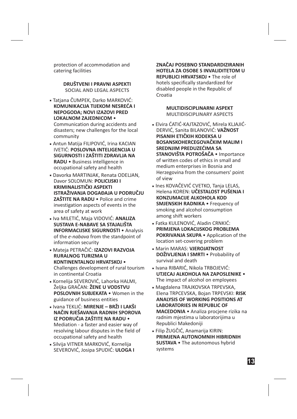protection of accommodation and catering facilities

> **DRUŠTVENI I PRAVNI ASPEKTI SOCIAL AND LEGAL ASPECTS**

Tatjana ČUMPEK, Darko MARKOVIĆ: -• **LOKALNOM ZAJEDNICOM KOMUNIKACIJA TIJEKOM NESREĆA I NEPOGODA; NOVI IZAZOVI PRED**

Communication during accidents and disasters; new challenges for the local community

- Antun Matija FILIPOVIĆ, Irina KACIAN -IVETIĆ: **POSLOVNA INTELIGENCIJA U** • Business intelligence in **RADU** occupational safety and health **SIGURNOSTI I ZAŠTITI ZDRAVLJA NA**
- Davorka MARTINJAK, Renata ODELJAN, -Davor SOLOMUN: **POLICIJSKI I ZAŠTITE NA RADU •** Police and crime investigation aspects of events in the area of safety at work **KRIMINALISTIČKI ASPEKTI ISTRAŽIVANJA DOGAĐAJA U PODRUČJU**
- Iva MILETIĆ, Maja VIDOVIĆ: **ANALIZA** -• Analysis **INFORMACIJSKE SIGURNOSTI** of the *e-nabava* from the standpoint of information security **SUSTAVA E-NABAVE SA STAJALIŠTA**
- Mateja PETRAČIĆ: **IZAZOVI RAZVOJA** -• **KONTINENTALNOJ HRVATSKOJ** Challenges development of rural tourism in continental Croatia **RURALNOG TURIZMA U**
- Kornelija SEVEROVIĆ, Lahorka HALMI, -Željka GRAČAN: **ŽENE U VODSTVU** POSLOVNIH SUBJEKATA . Women in the guidance of business entities
- Ivana TEKLIĆ: **MIRENJE BRŽI I LAKŠI** -• **IZ PODRUČJA ZAŠTITE NA RADU** Mediation - a faster and easier way of resolving labour disputes in the field of occupational safety and health **NAČIN RJEŠAVANJA RADNIH SPOROVA**
- Silvija VITNER MARKOVIĆ, Kornelija SEVEROVIĆ, Josipa SPUDIĆ: **ULOGA I**

REPUBLICI HRVATSKOJ . The role of hotels specifically standardized for disabled people in the Republic of Croatia **ZNAČAJ POSEBNO STANDARDIZIRANIH HOTELA ZA OSOBE S INVALIDITETOM U**

> **MULTIDISCIPLINARNI ASPEKT MULTIDISCIPLINARY ASPECTS**

- Elvira ĆATIĆ-KAJTAZOVIĆ, Mirela KLJAJIĆ--DERVIĆ, Sanita BILANOVIĆ: **VAŽNOST STANOVIŠTA POTROŠAČA • Importance** of written codes of ethics in small and medium enterprises in Bosnia and Herzegovina from the consumers' point of view **PISANIH ETIČKIH KODEKSA U BOSANSKOHERCEGOVAČKIM MALIM I SREDNJIM PREDUZEĆIMA SA**
- **Ines KOVAČEVIĆ CVETKO, Tanja LELAS,** Helena KOREN: **UČESTALOST PUŠENJA I SMJENSKIH RADNIKA ·** Frequency of smoking and alcohol consumption among shift workers **KONZUMACIJE ALKOHOLA KOD**
- Fatka KULENOVIĆ, Aladin CRNKIĆ: -POKRIVANJA SKUPA · Application of the location set-covering problem **PRIMJENA LOKACIJSKOG PROBLEMA**
- Marin MARAS: **VJEROJATNOST** -• Probability of **DOŽIVLJENJA I SMRTI** survival and death
- Ivana RIBARIĆ, Nikola TRBOJEVIĆ: -• **UTJECAJ ALKOHOLA NA ZAPOSLENIKE** The impact of alcohol on employees
- Magdalena TRAJKOVSKA TRPEVSKA, Elena TRPCEVSKA, Bojan TRPEVSKI: **RISK** • Analiza procjene rizika na **MACEDONIA** radnim mjestima u laboratorijima u Republici Makedoniji **ANALYSIS OF WORKING POSITIONS AT LABORATORIES IN REPUBLIC OF**
- Filip ŽUGČIĆ, Anamarija KIRIN: -• The autonomous hybrid **SUSTAVA** systems **PRIMJENA AUTONOMNIH HIBRIDNIH**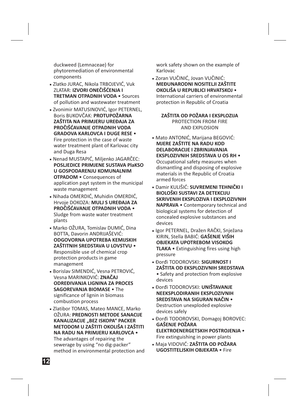duckweed (Lemnaceae) for phytoremediation of environmental components

- Zlatko JURAC, Nikola TRBOJEVIĆ, Vuk -ZLATAR: **IZVORI ONEČIŠĆENJA I TRETMAN OTPADNIH VODA • Sources** of pollution and wastewater treatment
- Zvonimir MATUSINOVIĆ, Igor PETERNEL, -Boris BUKOVČAK: **PROTUPOŽARNA** • **GRADOVA KARLOVCA I DUGE RESE** Fire protection in the case of waste water treatment plant of Karlovac city and Duga Resa **ZAŠTITA NA PRIMJERU UREĐAJA ZA PROČIŠĆAVANJE OTPADNIH VODA**
- Nenad MUSTAPIĆ, Miljenko JAGARČEC: -• Consequences of **OTPADOM** application payt system in the municipal waste management **POSLJEDICE PRIMJENE SUSTAVA PlaKSO U GOSPODARENJU KOMUNALNIM**
- Nihada OMERDIĆ, Muhidin OMERDIĆ, -Hrvoje DOKOZA: **MULJ S UREĐAJA ZA** • **PROČIŠĆAVANJE OTPADNIH VODA** Sludge from waste water treatment plants
- Marko OŽURA, Tomislav DUMIĆ, Dina -BOTTA, Davorin ANDRIJAŠEVIĆ: • **ZAŠTITNIH SREDSTAVA U LOVSTVU** Responsible use of chemical crop protection products in game management **ODGOVORNA UPOTREBA KEMIJSKIH**
- Borislav SIMENDIĆ, Vesna PETROVIĆ, -Vesna MARINKOVIĆ: **ZNAČAJ SAGOREVANJA BIOMASE • The** significance of lignin in biomass combustion process **ODREĐIVANJA LIGNINA ZA PROCES**
- Zlatibor TOMAS, Mateo MANCE, Marko -OŽURA: **PREDNOSTI METODE SANACIJE** • **NA RADU NA PRIMJERU KARLOVCA** The advantages of repairing the sewerage by using "no dig-packer" method in environmental protection and **KANALIZACIJE "BEZ ISKOPA" PACKER METODOM U ZAŠTITI OKOLIŠA I ZAŠTITI**

work safety shown on the example of Karlovac

Zoran VUČINIĆ, Jovan VUČINIĆ: -• **OKOLIŠA U REPUBLICI HRVATSKOJ** International carriers of environmental protection in Republic of Croatia **MEĐUNARODNI NOSITELJI ZAŠTITE**

## **ZAŠTITA OD POŽARA I EKSPLOZIJA**

**PROTECTION FROM FIRE AND EXPLOSION**

- Mato ANTONIĆ, Marijana BEGOVIĆ: -• **EKSPLOZIVNIH SREDSTAVA U OS RH** Occupational safety measures when dismantling and disposing of explosive materials in the Republic of Croatia armed forces **MJERE ZAŠTITE NA RADU KOD DELABORACIJE I ZBRINJAVANJA**
- **Damir KULIŠIĆ: SUVREMENI TEHNIČKI I** • Contemporary technical and **NAPRAVA** biological systems for detection of concealed explosive substances and devices **BIOLOŠKI SUSTAVI ZA DETEKCIJU SKRIVENIH EKSPLOZIVA I EKSPLOZIVNIH**
- Igor PETERNEL, Dražen RAČKI, Snježana -KIRIN, Stella BABIĆ: **GAŠENJE VIŠIH** • Extinguishing fires using high **TLAKA** pressure **OBJEKATA UPOTREBOM VISOKOG**
- Đorđi TODOROVSKI: -**SIGURNOST I** • Safety and protection from explosive devices **ZAŠTITA OD EKSPLOZIVNIH SREDSTAVA**
- Đorđi TODOROVSKI: -**UNIŠTAVANJE** • **SREDSTAVA NA SIGURAN NAČIN** Destruction unexploded explosive devices safely **NEEKSPLODIRANIH EKSPLOZIVNIH**
- Đorđi TODOROVSKI, Domagoj BOROVEC: • **ELEKTROENERGETSKIH POSTROJENJA** Fire extinguishing in power plants **GAŠENJE POŽARA**
- Maja VIDOVIĆ: -**ZAŠTITA OD POŽARA UGOSTITELJSKIH OBJEKATA • Fire**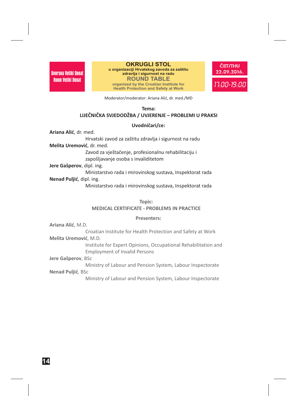22.09.2016. Dvorana Veliki Donat **zdravlja i sigurnost na radu OKRUGLI STOL u organizaciji Hrvatskog zavoda za zaštitu ROUND TABLE organized by the Croatian Institute for Health Protection and Safety at Work**



Moderator/moderator: Ariana Alić, dr. med./MD

#### **Tema: LIJEČNIČKA SVJEDODŽBA / UVJERENJE – PROBLEMI U PRAKSI**

#### **Uvodničari/ce:**

**Ariana Alić** , dr. med.

**Melita Uremović** , dr. med. Hrvatski zavod za zaštitu zdravlja i sigurnost na radu

> Zavod za vještačenje, profesionalnu rehabilitaciju i zapošljavanje osoba s invaliditetom

**Jere Gašperov** , dipl. ing.

**Nenad Puljić** , dipl. ing. Ministarstvo rada i mirovinskog sustava, Inspektorat rada

Ministarstvo rada i mirovinskog sustava, Inspektorat rada

**Topic:**

**MEDICAL CERTIFICATE - PROBLEMS IN PRACTICE**

#### **Presenters:**

**Ariana Alić** , M.D.

**Melita Uremović** , M.D. Croatian Institute for Health Protection and Safety at Work

> Institute for Expert Opinions, Occupational Rehabilitation and Employment of Invalid Persons

**Jere Gašperov** , BSc

**Nenad Puljić** , BSc Ministry of Labour and Pension System, Labour Inspectorate

Ministry of Labour and Pension System, Labour Inspectorate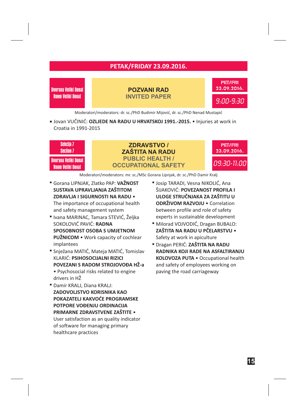## **PETAK/FRIDAY 23.09.2016.**

Dvorana Veliki Donat<br>Room Veliki Donat

23.09.2016. Dvorana Veliki Donat **POZVANI RAD INVITED PAPER**

9:00-9:30 PET/FRI

Moderatori/moderators: dr. sc./PhD Budimir Mijović, dr. sc./PhD Nenad Mustapić

■ Jovan VUČINIĆ: **OZLJEDE NA RADU U HRVATSKOJ 1991.-2015. •** Injuries at work in Croatia in 1991-2015



Moderatori/moderators: mr. sc./MSc Gorana Lipnjak, dr. sc./PhD Damir Kralj -

 Gorana LIPNJAK, Zlatko PAP: **VAŽNOST** • **ZDRAVLJA I SIGURNOSTI NA RADU SUSTAVA UPRAVLJANJA ZAŠTITOM**

The importance of occupational health and safety management system

- Ivana MARINAC, Tamara STEVIĆ, Željka SOKOLOVIĆ PAVIĆ: **RADNA PUŽNICOM** • Work capacity of cochlear implantees **SPOSOBNOST OSOBA S UMJETNOM**
- Snježana MATIĆ, Mateja MATIĆ, Tomislav KLARIĆ: **PSIHOSOCIJALNI RIZICI** Psychosocial risks related to engine • drivers in HŽ **POVEZANI S RADOM STROJOVOĐA HŽ-a**
- Damir KRALJ, Diana KRALJ: User satisfaction as an quality indicator of software for managing primary healthcare practices **ZADOVOLJSTVO KORISNIKA KAO POKAZATELJ KAKVOĆE PROGRAMSKE POTPORE VOĐENJU ORDINACIJA PRIMARNE ZDRAVSTVENE ZAŠTITE** •
- Josip TARADI, Vesna NIKOLIĆ, Ana ŠIJAKOVIĆ: **POVEZANOST PROFILA I ODRŽIVOM RAZVOJU •** Correlation between profile and role of safety experts in sustainable development **ULOGE STRUČNJAKA ZA ZAŠTITU U**
- Milorad VOJVODIĆ, Dragan BUBALO: Safety at work in apiculture **ZAŠTITA NA RADU U PČELARSTVU** •
- Dragan PERIĆ: **ZAŠTITA NA RADU** KOLOVOZA PUTA · Occupational health and safety of employees working on paving the road carriageway **RADNIKA KOJI RADE NA ASFALTIRANJU**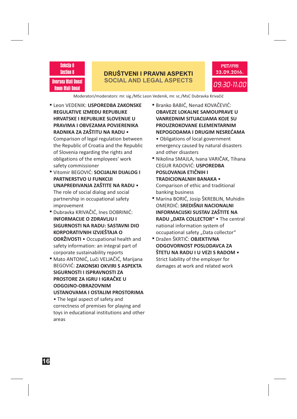#### **DRUŠTVENI I PRAVNI ASPEKTI SOCIAL AND LEGAL ASPECTS**



Dvorana Mali Donat Room Mali Donat

Sekcija 8 Section 8

## Moderatori/moderators: mr. sig./MSc Leon Vedenik, mr. sc./MsC Dubravka Krivačić -

 Leon VEDENIK: **USPOREDBA ZAKONSKE** • **RADNIKA ZA ZAŠTITU NA RADU REGULATIVE IZMEĐU REPUBLIKE HRVATSKE I REPUBLIKE SLOVENIJE U PRAVIMA I OBVEZAMA POVJERENIKA**

Comparison of legal regulation between the Republic of Croatia and the Republic of Slovenia regarding the rights and obligations of the employees' work safety commissioner

- Vitomir BEGOVIĆ: **SOCIJALNI DIJALOG I** The role of social dialog and social partnership in occupational safety improvement **PARTNERSTVO U FUNKCIJI UNAPREĐIVANJA ZAŠTITE NA RADU** •
- Dubravka KRIVAČIĆ, Ines DOBRINIĆ: **ODRŽIVOSTI •** Occupational health and safety information: an integral part of corporate sustainability reports **INFORMACIJE O ZDRAVLJU I SIGURNOSTI NA RADU: SASTAVNI DIO KORPORATIVNIH IZVJEŠTAJA O**
- Mato ANTONIĆ, Luči VELJAČIĆ, Marijana BEGOVIĆ: **ZAKONSKI OKVIRI S ASPEKTA SIGURNOSTI I ISPRAVNOSTI ZA PROSTORE ZA IGRU I IGRAČKE U ODGOJNO-OBRAZOVNIM USTANOVAMA I OSTALIM PROSTORIMA**

The legal aspect of safety and • correctness of premises for playing and toys in educational institutions and other areas

- Branko BABIĆ, Nenad KOVAČEVIĆ: **OBAVEZE LOKALNE SAMOUPRAVE U VANREDNIM SITUACIJAMA KOJE SU PROUZROKOVANE ELEMENTARNIM NEPOGODAMA I DRUGIM NESREĆAMA**
	- Obligations of local government emergency caused by natural disasters and other disasters
- Nikolina SMAJLA, Ivana VARIČAK, Tihana CEGUR RADOVIĆ: **USPOREDBA** Comparison of ethic and traditional banking business **POSLOVANJA ETIČNIH I TRADICIONALNIH BANAKA** •
- Marina BORIĆ, Josip ŠKREBLIN, Muhidin OMERDIĆ: **SREDIŠNJI NACIONALNI** RADU "DATA COLLECTOR" · The central national information system of occupational safety "Data collector" **INFORMACIJSKI SUSTAV ZAŠTITE NA**
- Dražen ŠKRTIĆ: **OBJEKTIVNA** Strict liability of the employer for damages at work and related work **ODGOVORNOST POSLODAVCA ZA ŠTETU NA RADU I U VEZI S RADOM** •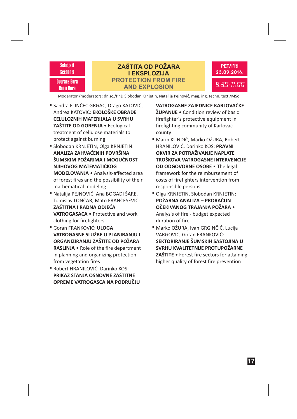

## **ZAŠTITA OD POŽARA I EKSPLOZIJA PROTECTION FROM FIRE AND EXPLOSION**



Moderatori/moderators: dr. sc./PhD Slobodan Krnjetin, Natalija Pejnović, mag. ing. techn. text./MSc

- Sandra FLINČEC GRGAC, Drago KATOVIĆ, Andrea KATOVIĆ: **EKOLOŠKE OBRADE** • Ecological **ZAŠTITE OD GORENJA** treatment of cellulose materials to protect against burning **CELULOZNIH MATERIJALA U SVRHU**
- Slobodan KRNJETIN, Olga KRNJETIN: • Analysis-affected area **MODELOVANJA** of forest fires and the possibility of their mathematical modeling **ANALIZA ZAHVAĆENIH POVRŠINA ŠUMSKIM POŽARIMA I MOGUĆNOST NJIHOVOG MATEMATIČKOG**
- Natalija PEJNOVIĆ, Ana BOGADI ŠARE, Tomislav LONČAR, Mato FRANČEŠEVIĆ: VATROGASACA . Protective and work clothing for firefighters **ZAŠTITNA I RADNA ODJEĆA**
- Goran FRANKOVIĆ: **ULOGA** RASLINJA . Role of the fire department in planning and organizing protection from vegetation fires **VATROGASNE SLUŽBE U PLANIRANJU I ORGANIZIRANJU ZAŠTITE OD POŽARA**
- Robert HRANILOVIĆ, Darinko KOS: **PRIKAZ STANJA OSNOVNE ZAŠTITNE OPREME VATROGASCA NA PODRUČJU**

• Condition review of basic **ŽUPANIJE** firefighter's protective equipment in firefighting community of Karlovac county **VATROGASNE ZAJEDNICE KARLOVAČKE**

- Marin KUNDIĆ, Marko OŽURA, Robert HRANILOVIĆ, Darinko KOS: **PRAVNI** OD ODGOVORNE OSOBE . The legal framework for the reimbursement of costs of firefighters intervention from responsible persons **OKVIR ZA POTRAŽIVANJE NAPLATE TROŠKOVA VATROGASNE INTERVENCIJE**
- Olga KRNJETIN, Slobodan KRNJETIN: • **OČEKIVANOG TRAJANJA POŽARA** Analysis of fire - budget expected duration of fire **POŽARNA ANALIZA – PRORAČUN**
- Marko OŽURA, Ivan GRGINČIĆ, Lucija VARGOVIĆ, Goran FRANKOVIĆ: • Forest fire sectors for attaining **ZAŠTITE** higher quality of forest fire prevention **SEKTORIRANJE ŠUMSKIH SASTOJINA U SVRHU KVALITETNIJE PROTUPOŽARNE**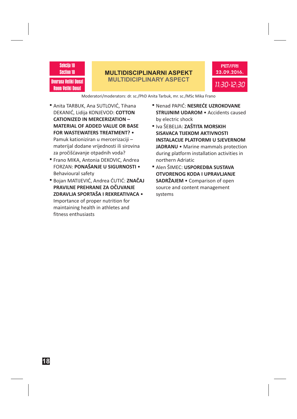#### Sekcija 10 Section 10

Dvorana Veliki Donat Room Veliki Donat

#### **MULTIDISCIPLINARNI ASPEKT MULTIDICIPLINARY ASPECT**



#### Moderatori/moderators: dr. sc./PhD Anita Tarbuk, mr. sc./MSc Mika Frano

- Anita TARBUK, Ana SUTLOVIĆ, Tihana DEKANIĆ, Lidija KONJEVOD: **COTTON** Pamuk kationiziran u mercerizaciji – materijal dodane vrijednosti ili sirovina za pročišćavanje otpadnih voda? **CATIONIZED IN MERCERIZATION – MATERIAL OF ADDED VALUE OR BASE FOR WASTEWATERS TREATMENT?** •
- Frano MIKA, Antonia DEKOVIC, Andrea FORZAN: • **PONAŠANJE U SIGURNOSTI** Behavioural safety
- Bojan MATIJEVIĆ, Andrea ĆUTIĆ: **ZNAČAJ** Importance of proper nutrition for maintaining health in athletes and fitness enthusiasts • **ZDRAVLJA SPORTAŠA I REKREATIVACA PRAVILNE PREHRANE ZA OČUVANJE**
- Nenad PAPIĆ: **NESREĆE UZROKOVANE STRUJNIM UDAROM** • Accidents caused by electric shock
- **"** Iva ŠEBELJA: **ZAŠTITA MORSKIH JADRANU** • Marine mammals protection during platform installation activities in northern Adriatic **SISAVACA TIJEKOM AKTIVNOSTI INSTALACIJE PLATFORMI U SJEVERNOM**
- Alen ŠIMEC: **USPOREDBA SUSTAVA SADRŽAJEM •** Comparison of open source and content management systems **OTVORENOG KODA I UPRAVLJANJE**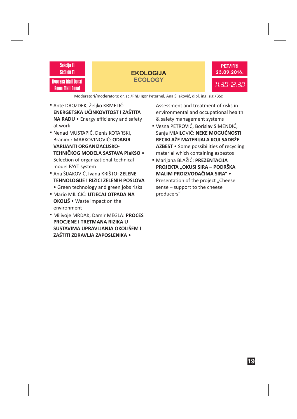#### Sekcija 11 Section 11

#### Dvorana Mali Donat Room Mali Donat

## **EKOLOGIJA ECOLOGY**



Moderatori/moderators: dr. sc./PhD Igor Peternel, Ana Šijaković, dipl. ing. sig./BSc

- Ante DROZDEK, Željko KRMELIĆ: NA RADU • Energy efficiency and safety at work **ENERGETSKA UČINKOVITOST I ZAŠTITA**
- Nenad MUSTAPIĆ, Denis KOTARSKI, Branimir MARKOVINOVIĆ: **ODABIR** Selection of organizational-technical model PAYT system **VARIJANTI ORGANIZACIJSKO-TEHNIČKOG MODELA SASTAVA PlaKSO** •
- Ana ŠIJAKOVIĆ, Ivana KRIŠTO: **ZELENE** Green technology and green jobs risks • **TEHNOLOGIJE I RIZICI ZELENIH POSLOVA**
- Mario MILIČIĆ: **UTJECAJ OTPADA NA OKOLIŠ** • Waste impact on the environment
- Milivoje MRDAK, Damir MEGLA: **PROCES PROCJENE I TRETMANA RIZIKA U SUSTAVIMA UPRAVLJANJA OKOLIŠEM I ZAŠTITI ZDRAVLJA ZAPOSLENIKA** •

Assessment and treatment of risks in environmental and occupational health & safety management systems

- Vesna PETROVIĆ, Borislav SIMENDIĆ, Sanja MIAILOVIĆ: **NEKE MOGUĆNOSTI AZBEST** • Some possibilities of recycling material which containing asbestos **RECIKLAŽE MATERIJALA KOJI SADRŽE**
- Marijana BLAŽIĆ: **PREZENTACIJA** Presentation of the project "Cheese sense – support to the cheese producers" **PROJEKTA "OKUSI SIRA – PODRŠKA MALIM PROIZVOĐAČIMA SIRA"** •